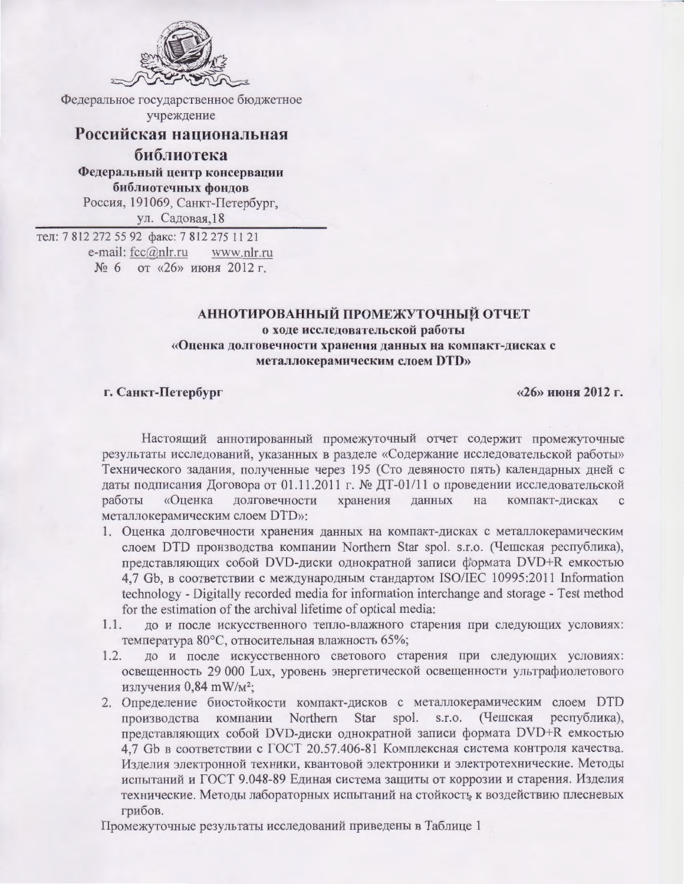

Федеральное государственное бюджетное учреждение

## Российская национальная

библиотека Федеральный центр консервации библиотечных фондов Россия, 191069, Санкт-Петербург, ул. Садовая, 18

тел: 7812 272 55 92 факс: 7812 275 11 21 e-mail: fcc@nlr.ru www.nlr.ru  $\frac{1006}{6}$  от «26» июня 2012 г.

## АННОТИРОВАННЫЙ ПРОМЕЖУТОЧНЫЙ ОТЧЕТ о ходе исследовательской работы «Оценка долговечности хранения данных на компакт-дисках с металлокерамическим слоем DTD»

## г. Санкт-Петербург

«26» июня 2012 г.

Настоящий аннотированный промежуточный отчет содержит промежуточные результаты исследований, указанных в разделе «Содержание исследовательской работы» Технического задания, полученные через 195 (Сто девяносто пять) календарных дней с даты подписания Договора от 01.11.2011 г. № ДТ-01/11 о проведении исследовательской «Оценка долговечности хранения данных на компакт-дисках работы  $\mathbf{C}$ металлокерамическим слоем DTD»:

- 1. Оценка долговечности хранения данных на компакт-дисках с металлокерамическим слоем DTD производства компании Northern Star spol. s.r.o. (Чешская республика), представляющих собой DVD-диски однократной записи формата DVD+R емкостью 4.7 Gb, в соответствии с международным стандартом ISO/IEC 10995:2011 Information technology - Digitally recorded media for information interchange and storage - Test method for the estimation of the archival lifetime of optical media:
- до и после искусственного тепло-влажного старения при следующих условиях:  $1.1.$ температура 80°С, относительная влажность 65%;
- до и после искусственного светового старения при следующих условиях:  $1.2.$ освещенность 29 000 Lux, уровень энергетической освещенности ультрафиолетового излучения 0,84 mW/м<sup>2</sup>;
- 2. Определение биостойкости компакт-дисков с металлокерамическим слоем DTD производства компании Northern Star spol. s.r.o. (Чешская республика), представляющих собой DVD-диски однократной записи формата DVD+R емкостью 4,7 Gb в соответствии с ГОСТ 20.57.406-81 Комплексная система контроля качества. Изделия электронной техники, квантовой электроники и электротехнические. Методы испытаний и ГОСТ 9.048-89 Единая система защиты от коррозии и старения. Изделия технические. Методы лабораторных испытаний на стойкость к воздействию плесневых грибов.

Промежуточные результаты исследований приведены в Таблице 1